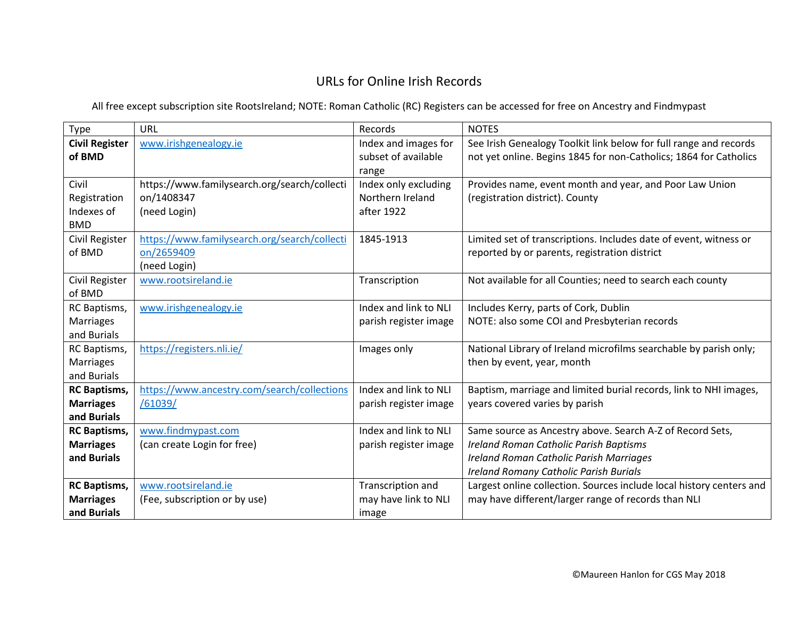## URLs for Online Irish Records

All free except subscription site RootsIreland; NOTE: Roman Catholic (RC) Registers can be accessed for free on Ancestry and Findmypast

| Type                  | URL                                          | Records               | <b>NOTES</b>                                                         |
|-----------------------|----------------------------------------------|-----------------------|----------------------------------------------------------------------|
| <b>Civil Register</b> | www.irishgenealogy.ie                        | Index and images for  | See Irish Genealogy Toolkit link below for full range and records    |
| of BMD                |                                              | subset of available   | not yet online. Begins 1845 for non-Catholics; 1864 for Catholics    |
|                       |                                              | range                 |                                                                      |
| Civil                 | https://www.familysearch.org/search/collecti | Index only excluding  | Provides name, event month and year, and Poor Law Union              |
| Registration          | on/1408347                                   | Northern Ireland      | (registration district). County                                      |
| Indexes of            | (need Login)                                 | after 1922            |                                                                      |
| <b>BMD</b>            |                                              |                       |                                                                      |
| Civil Register        | https://www.familysearch.org/search/collecti | 1845-1913             | Limited set of transcriptions. Includes date of event, witness or    |
| of BMD                | on/2659409                                   |                       | reported by or parents, registration district                        |
|                       | (need Login)                                 |                       |                                                                      |
| Civil Register        | www.rootsireland.ie                          | Transcription         | Not available for all Counties; need to search each county           |
| of BMD                |                                              |                       |                                                                      |
| RC Baptisms,          | www.irishgenealogy.ie                        | Index and link to NLI | Includes Kerry, parts of Cork, Dublin                                |
| Marriages             |                                              | parish register image | NOTE: also some COI and Presbyterian records                         |
| and Burials           |                                              |                       |                                                                      |
| RC Baptisms,          | https://registers.nli.ie/                    | Images only           | National Library of Ireland microfilms searchable by parish only;    |
| Marriages             |                                              |                       | then by event, year, month                                           |
| and Burials           |                                              |                       |                                                                      |
| <b>RC Baptisms,</b>   | https://www.ancestry.com/search/collections  | Index and link to NLI | Baptism, marriage and limited burial records, link to NHI images,    |
| <b>Marriages</b>      | /61039/                                      | parish register image | years covered varies by parish                                       |
| and Burials           |                                              |                       |                                                                      |
| <b>RC Baptisms,</b>   | www.findmypast.com                           | Index and link to NLI | Same source as Ancestry above. Search A-Z of Record Sets,            |
| <b>Marriages</b>      | (can create Login for free)                  | parish register image | <b>Ireland Roman Catholic Parish Baptisms</b>                        |
| and Burials           |                                              |                       | <b>Ireland Roman Catholic Parish Marriages</b>                       |
|                       |                                              |                       | <b>Ireland Romany Catholic Parish Burials</b>                        |
| <b>RC Baptisms,</b>   | www.rootsireland.ie                          | Transcription and     | Largest online collection. Sources include local history centers and |
| <b>Marriages</b>      | (Fee, subscription or by use)                | may have link to NLI  | may have different/larger range of records than NLI                  |
| and Burials           |                                              | image                 |                                                                      |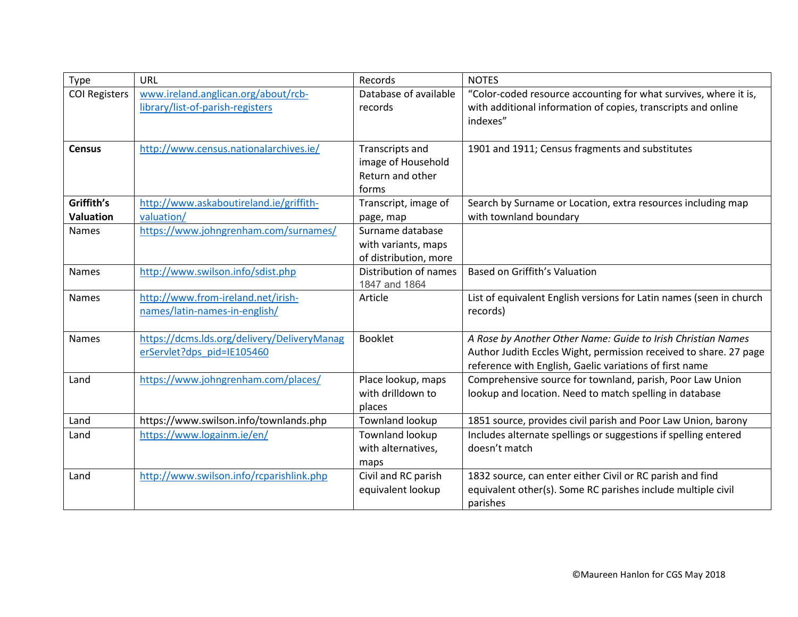| Type                           | URL                                                                       | Records                                                            | <b>NOTES</b>                                                                                                                                                                                 |
|--------------------------------|---------------------------------------------------------------------------|--------------------------------------------------------------------|----------------------------------------------------------------------------------------------------------------------------------------------------------------------------------------------|
| <b>COI Registers</b>           | www.ireland.anglican.org/about/rcb-                                       | Database of available                                              | "Color-coded resource accounting for what survives, where it is,                                                                                                                             |
|                                | library/list-of-parish-registers                                          | records                                                            | with additional information of copies, transcripts and online<br>indexes"                                                                                                                    |
| <b>Census</b>                  | http://www.census.nationalarchives.ie/                                    | Transcripts and<br>image of Household<br>Return and other<br>forms | 1901 and 1911; Census fragments and substitutes                                                                                                                                              |
| Griffith's<br><b>Valuation</b> | http://www.askaboutireland.ie/griffith-<br>valuation/                     | Transcript, image of                                               | Search by Surname or Location, extra resources including map<br>with townland boundary                                                                                                       |
| <b>Names</b>                   | https://www.johngrenham.com/surnames/                                     | page, map<br>Surname database                                      |                                                                                                                                                                                              |
|                                |                                                                           | with variants, maps                                                |                                                                                                                                                                                              |
|                                |                                                                           | of distribution, more                                              |                                                                                                                                                                                              |
| <b>Names</b>                   | http://www.swilson.info/sdist.php                                         | Distribution of names<br>1847 and 1864                             | Based on Griffith's Valuation                                                                                                                                                                |
| <b>Names</b>                   | http://www.from-ireland.net/irish-<br>names/latin-names-in-english/       | Article                                                            | List of equivalent English versions for Latin names (seen in church<br>records)                                                                                                              |
| <b>Names</b>                   | https://dcms.lds.org/delivery/DeliveryManag<br>erServlet?dps pid=IE105460 | <b>Booklet</b>                                                     | A Rose by Another Other Name: Guide to Irish Christian Names<br>Author Judith Eccles Wight, permission received to share. 27 page<br>reference with English, Gaelic variations of first name |
| Land                           | https://www.johngrenham.com/places/                                       | Place lookup, maps<br>with drilldown to<br>places                  | Comprehensive source for townland, parish, Poor Law Union<br>lookup and location. Need to match spelling in database                                                                         |
| Land                           | https://www.swilson.info/townlands.php                                    | Townland lookup                                                    | 1851 source, provides civil parish and Poor Law Union, barony                                                                                                                                |
| Land                           | https://www.logainm.ie/en/                                                | Townland lookup<br>with alternatives,<br>maps                      | Includes alternate spellings or suggestions if spelling entered<br>doesn't match                                                                                                             |
| Land                           | http://www.swilson.info/rcparishlink.php                                  | Civil and RC parish<br>equivalent lookup                           | 1832 source, can enter either Civil or RC parish and find<br>equivalent other(s). Some RC parishes include multiple civil<br>parishes                                                        |